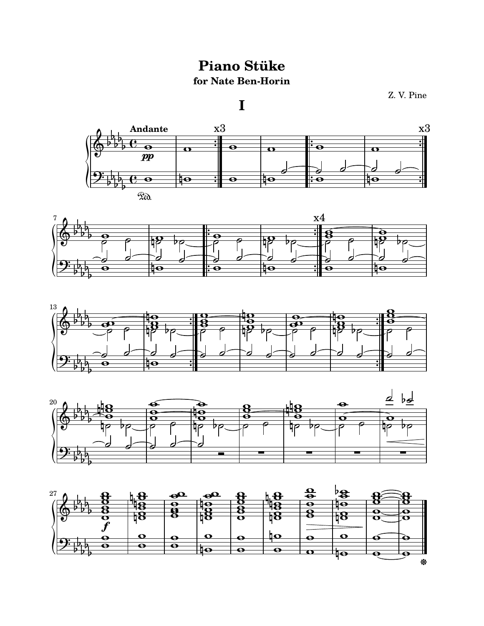## **Piano Stüke** for Nate Ben-Horin

 $\mathbf I$ 

Z.V. Pine









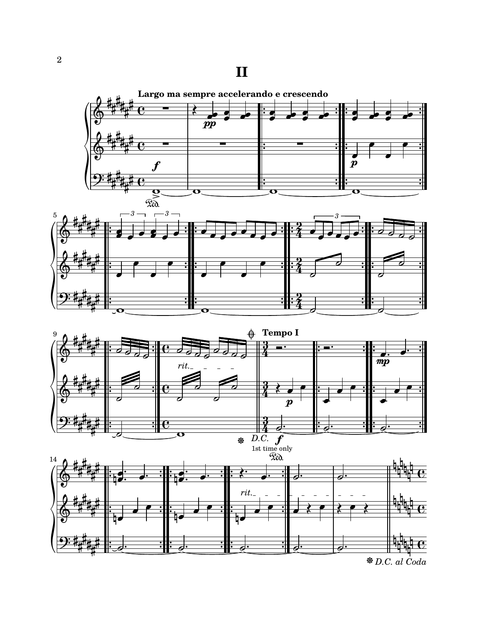## **II**







 *[D.C. al Coda](textedit:///home/zach/lilypond/stuke.ly:206:37:52)*